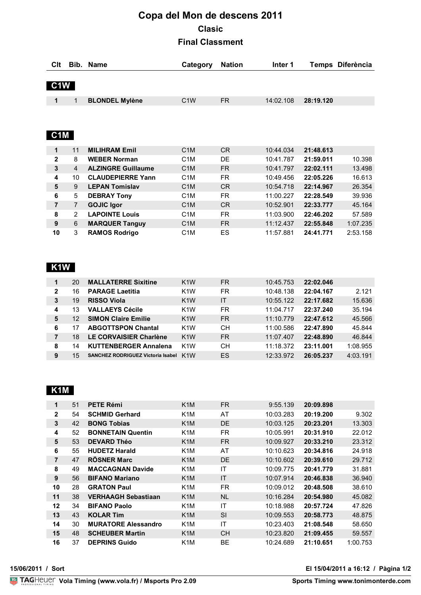# **Copa del Mon de descens 2011 Clasic Final Classment**

| Clt              | Bib.           | <b>Name</b>               | Category         | <b>Nation</b>  | Inter 1   |           | Temps Diferència |
|------------------|----------------|---------------------------|------------------|----------------|-----------|-----------|------------------|
|                  |                |                           |                  |                |           |           |                  |
| C1W              |                |                           |                  |                |           |           |                  |
| 1                | 1              | <b>BLONDEL Mylène</b>     | C <sub>1</sub> W | FR.            | 14:02.108 | 28:19.120 |                  |
|                  |                |                           |                  |                |           |           |                  |
|                  |                |                           |                  |                |           |           |                  |
|                  |                |                           |                  |                |           |           |                  |
| C <sub>1</sub> M |                |                           |                  |                |           |           |                  |
| 1                | 11             | <b>MILIHRAM Emil</b>      | C <sub>1</sub> M | C <sub>R</sub> | 10:44.034 | 21:48.613 |                  |
| $\mathbf{2}$     | 8              | <b>WEBER Norman</b>       | C <sub>1</sub> M | DE             | 10:41.787 | 21:59.011 | 10.398           |
| 3                | 4              | <b>ALZINGRE Guillaume</b> | C <sub>1</sub> M | FR.            | 10:41.797 | 22:02.111 | 13.498           |
| 4                | 10             | <b>CLAUDEPIERRE Yann</b>  | C <sub>1</sub> M | <b>FR</b>      | 10:49.456 | 22:05.226 | 16.613           |
| 5                | 9              | <b>LEPAN Tomislav</b>     | C <sub>1</sub> M | C <sub>R</sub> | 10:54.718 | 22:14.967 | 26.354           |
| 6                | 5              | <b>DEBRAY Tony</b>        | C <sub>1</sub> M | FR.            | 11:00.227 | 22:28.549 | 39.936           |
| 7                | $\overline{7}$ | <b>GOJIC Igor</b>         | C <sub>1</sub> M | C <sub>R</sub> | 10:52.901 | 22:33.777 | 45.164           |
| 8                | 2              | <b>LAPOINTE Louis</b>     | C <sub>1</sub> M | FR.            | 11:03.900 | 22:46.202 | 57.589           |
| 9                | 6              | <b>MARQUER Tanguy</b>     | C <sub>1</sub> M | FR.            | 11:12.437 | 22:55.848 | 1:07.235         |
| 10               | 3              | <b>RAMOS Rodrigo</b>      | C <sub>1</sub> M | ES             | 11:57.881 | 24:41.771 | 2:53.158         |

## **K1W**

| 1              | 20 | <b>MALLATERRE Sixitine</b>               | K <sub>1</sub> W | <b>FR</b> | 10:45.753 | 22:02.046 |          |
|----------------|----|------------------------------------------|------------------|-----------|-----------|-----------|----------|
| $\overline{2}$ | 16 | <b>PARAGE Laetitia</b>                   | K <sub>1</sub> W | FR.       | 10:48.138 | 22:04.167 | 2.121    |
| 3              | 19 | <b>RISSO Viola</b>                       | K <sub>1</sub> W | IT        | 10:55.122 | 22:17.682 | 15.636   |
| 4              | 13 | <b>VALLAEYS Cécile</b>                   | K <sub>1</sub> W | FR.       | 11:04.717 | 22:37.240 | 35.194   |
| 5              | 12 | <b>SIMON Claire Emilie</b>               | K <sub>1</sub> W | FR.       | 11:10.779 | 22:47.612 | 45.566   |
| 6              |    | <b>ABGOTTSPON Chantal</b>                | K <sub>1</sub> W | CН        | 11:00.586 | 22:47.890 | 45.844   |
|                | 18 | LE CORVAISIER Charlène                   | K <sub>1</sub> W | FR.       | 11:07.407 | 22:48.890 | 46.844   |
| 8              | 14 | <b>KUTTENBERGER Annalena</b>             | K <sub>1</sub> W | CН        | 11:18.372 | 23:11.001 | 1:08.955 |
| 9              | 15 | <b>SANCHEZ RODRIGUEZ Victoria Isabel</b> | K <sub>1</sub> W | ES        | 12:33.972 | 26:05.237 | 4:03.191 |

## **K1M**

| 1              | 51 | <b>PETE Rémi</b>           | K <sub>1</sub> M | FR.       | 9:55.139  | 20:09.898 |          |
|----------------|----|----------------------------|------------------|-----------|-----------|-----------|----------|
| $\mathbf{2}$   | 54 | <b>SCHMID Gerhard</b>      | K <sub>1</sub> M | AT        | 10:03.283 | 20:19.200 | 9.302    |
| 3              | 42 | <b>BONG Tobias</b>         | K <sub>1</sub> M | <b>DE</b> | 10:03.125 | 20:23.201 | 13.303   |
| 4              | 52 | <b>BONNETAIN Quentin</b>   | K <sub>1</sub> M | FR.       | 10:05.991 | 20:31.910 | 22.012   |
| 5              | 53 | <b>DEVARD Théo</b>         | K <sub>1</sub> M | FR.       | 10:09.927 | 20:33.210 | 23.312   |
| 6              | 55 | <b>HUDETZ Harald</b>       | K1M              | AT        | 10:10.623 | 20:34.816 | 24.918   |
| $\overline{7}$ | 47 | <b>RÖSNER Marc</b>         | K <sub>1</sub> M | DE        | 10:10.602 | 20:39.610 | 29.712   |
| 8              | 49 | <b>MACCAGNAN Davide</b>    | K <sub>1</sub> M | IT        | 10:09.775 | 20:41.779 | 31.881   |
| 9              | 56 | <b>BIFANO Mariano</b>      | K <sub>1</sub> M | IT        | 10:07.914 | 20:46.838 | 36.940   |
| 10             | 28 | <b>GRATON Paul</b>         | K <sub>1</sub> M | <b>FR</b> | 10:09.012 | 20:48.508 | 38.610   |
| 11             | 38 | <b>VERHAAGH Sebastiaan</b> | K <sub>1</sub> M | <b>NL</b> | 10:16.284 | 20:54.980 | 45.082   |
| 12             | 34 | <b>BIFANO Paolo</b>        | K1M              | ΙT        | 10:18.988 | 20:57.724 | 47.826   |
| 13             | 43 | <b>KOLAR Tim</b>           | K <sub>1</sub> M | SI        | 10:09.553 | 20:58.773 | 48.875   |
| 14             | 30 | <b>MURATORE Alessandro</b> | K <sub>1</sub> M | IT        | 10:23.403 | 21:08.548 | 58.650   |
| 15             | 48 | <b>SCHEUBER Martin</b>     | K <sub>1</sub> M | <b>CH</b> | 10:23.820 | 21:09.455 | 59.557   |
| 16             | 37 | <b>DEPRINS Guido</b>       | K <sub>1</sub> M | <b>BE</b> | 10:24.689 | 21:10.651 | 1:00.753 |

**15/06/2011 / Sort El 15/04/2011 a 16:12 / Pàgina 1/2**